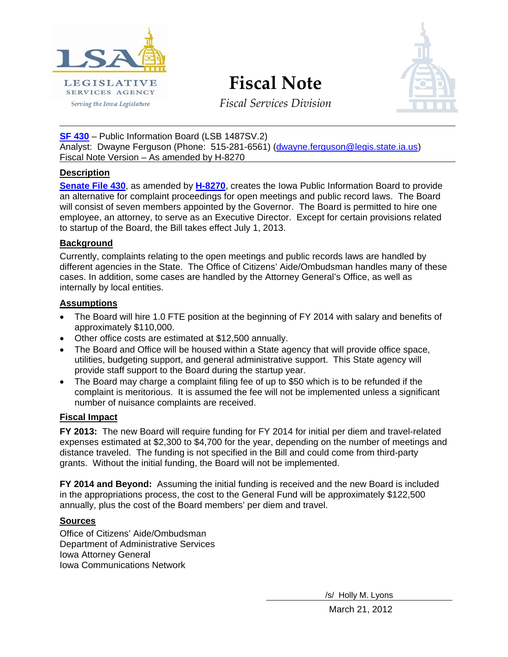

**Fiscal Note**



*Fiscal Services Division*

**[SF 430](http://coolice.legis.state.ia.us/Cool-ICE/default.asp?Category=billinfo&Service=Billbook&frame=1&GA=84&hbill=SF%20430)** – Public Information Board (LSB 1487SV.2) Analyst: Dwayne Ferguson (Phone: 515-281-6561) [\(dwayne.ferguson@legis.state.ia.us\)](mailto:dwayne.ferguson@legis.state.ia.us) Fiscal Note Version – As amended by H-8270

# **Description**

**[Senate File 430](http://coolice.legis.state.ia.us/Cool-ICE/default.asp?Category=billinfo&Service=Billbook&frame=1&GA=84&hbill=SF%20430)**, as amended by **[H-8270](http://coolice.legis.state.ia.us/Cool-ICE/default.asp?Category=billinfo&Service=Billbook&menu=false&ga=84&hbill=H8270)**, creates the Iowa Public Information Board to provide an alternative for complaint proceedings for open meetings and public record laws. The Board will consist of seven members appointed by the Governor. The Board is permitted to hire one employee, an attorney, to serve as an Executive Director. Except for certain provisions related to startup of the Board, the Bill takes effect July 1, 2013.

# **Background**

Currently, complaints relating to the open meetings and public records laws are handled by different agencies in the State. The Office of Citizens' Aide/Ombudsman handles many of these cases. In addition, some cases are handled by the Attorney General's Office, as well as internally by local entities.

# **Assumptions**

- The Board will hire 1.0 FTE position at the beginning of FY 2014 with salary and benefits of approximately \$110,000.
- Other office costs are estimated at \$12,500 annually.
- The Board and Office will be housed within a State agency that will provide office space, utilities, budgeting support, and general administrative support. This State agency will provide staff support to the Board during the startup year.
- The Board may charge a complaint filing fee of up to \$50 which is to be refunded if the complaint is meritorious. It is assumed the fee will not be implemented unless a significant number of nuisance complaints are received.

# **Fiscal Impact**

**FY 2013:** The new Board will require funding for FY 2014 for initial per diem and travel-related expenses estimated at \$2,300 to \$4,700 for the year, depending on the number of meetings and distance traveled. The funding is not specified in the Bill and could come from third-party grants. Without the initial funding, the Board will not be implemented.

**FY 2014 and Beyond:** Assuming the initial funding is received and the new Board is included in the appropriations process, the cost to the General Fund will be approximately \$122,500 annually, plus the cost of the Board members' per diem and travel.

# **Sources**

Office of Citizens' Aide/Ombudsman Department of Administrative Services Iowa Attorney General Iowa Communications Network

/s/ Holly M. Lyons

March 21, 2012